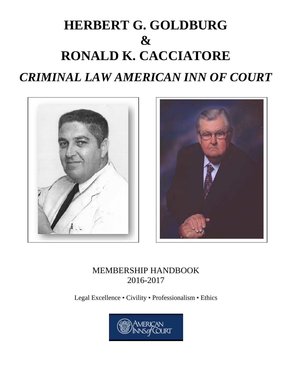## **HERBERT G. GOLDBURG & RONALD K. CACCIATORE** *CRIMINAL LAW AMERICAN INN OF COURT*





### MEMBERSHIP HANDBOOK 2016-2017

Legal Excellence • Civility • Professionalism • Ethics

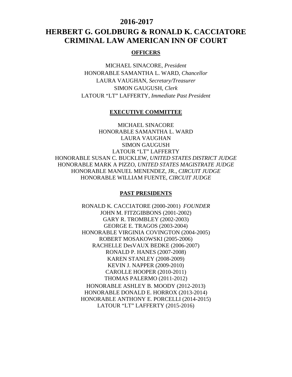#### **2016-2017**

### **HERBERT G. GOLDBURG & RONALD K. CACCIATORE CRIMINAL LAW AMERICAN INN OF COURT**

#### **OFFICERS**

MICHAEL SINACORE*, President* HONORABLE SAMANTHA L. WARD, *Chancellor* LAURA VAUGHAN, *Secretary/Treasurer* SIMON GAUGUSH, *Clerk* LATOUR "LT" LAFFERTY, *Immediate Past President*

#### **EXECUTIVE COMMITTEE**

MICHAEL SINACORE HONORABLE SAMANTHA L. WARD LAURA VAUGHAN SIMON GAUGUSH LATOUR "LT" LAFFERTY HONORABLE SUSAN C. BUCKLEW, *UNITED STATES DISTRICT JUDGE* HONORABLE MARK A PIZZO, *UNITED STATES MAGISTRATE JUDGE* HONORABLE MANUEL MENENDEZ, JR., *CIRCUIT JUDGE* HONORABLE WILLIAM FUENTE, *CIRCUIT JUDGE*

#### **PAST PRESIDENTS**

RONALD K. CACCIATORE (2000-2001) *FOUNDER* JOHN M. FITZGIBBONS (2001-2002) GARY R. TROMBLEY (2002-2003) GEORGE E. TRAGOS (2003-2004) HONORABLE VIRGINIA COVINGTON (2004-2005) ROBERT MOSAKOWSKI (2005-2006) RACHELLE DesVAUX BEDKE (2006-2007) RONALD P. HANES (2007-2008) KAREN STANLEY (2008-2009) KEVIN J. NAPPER (2009-2010) CAROLLE HOOPER (2010-2011) THOMAS PALERMO (2011-2012) HONORABLE ASHLEY B. MOODY (2012-2013) HONORABLE DONALD E. HORROX (2013-2014) HONORABLE ANTHONY E. PORCELLI (2014-2015) LATOUR "LT" LAFFERTY (2015-2016)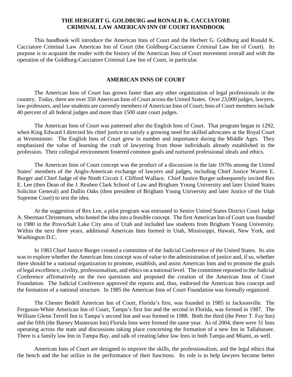#### **THE HERGERT G. GOLDBURG and RONALD K. CACCIATORE CRIMINAL LAW AMERICAN INN OF COURT HANDBOOK**

This handbook will introduce the American Inns of Court and the Herbert G. Goldburg and Ronald K. Cacciatore Criminal Law American Inn of Court (the Goldburg-Cacciatore Criminal Law Inn of Court). Its purpose is to acquaint the reader with the history of the American Inns of Court movement overall and with the operation of the Goldburg-Cacciatore Criminal Law Inn of Court, in particular.

#### **AMERICAN INNS OF COURT**

The American Inns of Court has grown faster than any other organization of legal professionals in the country. Today, there are over 350 American Inns of Court across the United States. Over 23,000 judges, lawyers, law professors, and law students are currently members of American Inns of Court; Inns of Court members include 40 percent of all federal judges and more than 1500 state court judges.

The American Inns of Court was patterned after the English Inns of Court. That program began in 1292, when King Edward I directed his chief justice to satisfy a growing need for skilled advocates at the Royal Court at Westminster. The English Inns of Court grew in number and importance during the Middle Ages. They emphasized the value of learning the craft of lawyering from those individuals already established in the profession. Their collegial environment fostered common goals and nurtured professional ideals and ethics.

The American Inns of Court concept was the product of a discussion in the late 1970s among the United States' members of the Anglo-American exchange of lawyers and judges, including Chief Justice Warren E. Burger and Chief Judge of the Ninth Circuit J. Clifford Wallace. Chief Justice Burger subsequently invited Rex E. Lee (then Dean of the J. Reuben Clark School of Law and Brigham Young University and later United States Solicitor General) and Dallin Oaks (then president of Brigham Young University and later Justice of the Utah Supreme Court) to test the idea.

At the suggestion of Rex Lee, a pilot program was entrusted to Senior United States District Court Judge A. Sherman Christensen, who honed the idea into a feasible concept. The first American Inn of Court was founded in 1980 in the Provo/Salt Lake City area of Utah and included law students from Brigham Young University. Within the next three years, additional American Inns formed in Utah, Mississippi, Hawaii, New York, and Washington D.C.

In 1983 Chief Justice Burger created a committee of the Judicial Conference of the United States. Its aim was to explore whether the American Inns concept was of value to the administration of justice and, if so, whether there should be a national organization to promote, establish, and assist American Inns and to promote the goals of legal excellence, civility, professionalism, and ethics on a national level. The committee reported to the Judicial Conference affirmatively on the two questions and proposed the creation of the American Inns of Court Foundation. The Judicial Conference approved the reports and, thus, endorsed the American Inns concept and the formation of a national structure. In 1985 the American Inns of Court Foundation was formally organized.

The Chester Bedell American Inn of Court, Florida's first, was founded in 1985 in Jacksonville. The Ferguson-White American Inn of Court, Tampa's first Inn and the second in Florida, was formed in 1987. The William Glenn Terrell Inn is Tampa's second Inn and was formed in 1988. Both the third (the Peter T. Fay Inn) and the fifth (the Barney Masterson Inn) Florida Inns were formed the same year. As of 2004, there were 31 Inns operating across the state and discussions taking place concerning the formation of a new Inn in Tallahassee. There is a family law Inn in Tampa Bay, and talk of creating labor law Inns in both Tampa and Miami, as well.

American Inns of Court are designed to improve the skills, the professionalism, and the legal ethics that the bench and the bar utilize in the performance of their functions. Its role is to help lawyers become better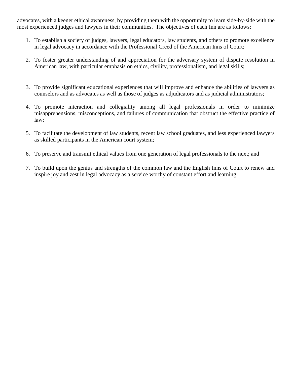advocates, with a keener ethical awareness, by providing them with the opportunity to learn side-by-side with the most experienced judges and lawyers in their communities. The objectives of each Inn are as follows:

- 1. To establish a society of judges, lawyers, legal educators, law students, and others to promote excellence in legal advocacy in accordance with the Professional Creed of the American Inns of Court;
- 2. To foster greater understanding of and appreciation for the adversary system of dispute resolution in American law, with particular emphasis on ethics, civility, professionalism, and legal skills;
- 3. To provide significant educational experiences that will improve and enhance the abilities of lawyers as counselors and as advocates as well as those of judges as adjudicators and as judicial administrators;
- 4. To promote interaction and collegiality among all legal professionals in order to minimize misapprehensions, misconceptions, and failures of communication that obstruct the effective practice of law;
- 5. To facilitate the development of law students, recent law school graduates, and less experienced lawyers as skilled participants in the American court system;
- 6. To preserve and transmit ethical values from one generation of legal professionals to the next; and
- 7. To build upon the genius and strengths of the common law and the English Inns of Court to renew and inspire joy and zest in legal advocacy as a service worthy of constant effort and learning.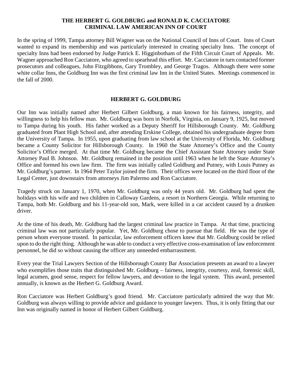#### **THE HERBERT G. GOLDBURG and RONALD K. CACCIATORE CRIMINAL LAW AMERICAN INN OF COURT**

In the spring of 1999, Tampa attorney Bill Wagner was on the National Council of Inns of Court. Inns of Court wanted to expand its membership and was particularly interested in creating specialty Inns. The concept of specialty Inns had been endorsed by Judge Patrick E. Higginbotham of the Fifth Circuit Court of Appeals. Mr. Wagner approached Ron Cacciatore, who agreed to spearhead this effort. Mr. Cacciatore in turn contacted former prosecutors and colleagues, John Fitzgibbons, Gary Trombley, and George Tragos. Although there were some white collar Inns, the Goldburg Inn was the first criminal law Inn in the United States. Meetings commenced in the fall of 2000.

#### **HERBERT G. GOLDBURG**

Our Inn was initially named after Herbert Gilbert Goldburg, a man known for his fairness, integrity, and willingness to help his fellow man. Mr. Goldburg was born in Norfolk, Virginia, on January 9, 1925, but moved to Tampa during his youth. His father worked as a Deputy Sheriff for Hillsborough County. Mr. Goldburg graduated from Plant High School and, after attending Erskine College, obtained his undergraduate degree from the University of Tampa. In 1955, upon graduating from law school at the University of Florida, Mr. Goldburg became a County Solicitor for Hillsborough County. In 1960 the State Attorney's Office and the County Solicitor's Office merged. At that time Mr. Goldburg became the Chief Assistant State Attorney under State Attorney Paul B. Johnson. Mr. Goldburg remained in the position until 1963 when he left the State Attorney's Office and formed his own law firm. The firm was initially called Goldburg and Putney, with Louis Putney as Mr. Goldburg's partner. In 1964 Peter Taylor joined the firm. Their offices were located on the third floor of the Legal Center, just downstairs from attorneys Jim Palermo and Ron Cacciatore.

Tragedy struck on January 1, 1970, when Mr. Goldburg was only 44 years old. Mr. Goldburg had spent the holidays with his wife and two children in Calloway Gardens, a resort in Northern Georgia. While returning to Tampa, both Mr. Goldburg and his 11-year-old son, Mark, were killed in a car accident caused by a drunken driver.

At the time of his death, Mr. Goldburg had the largest criminal law practice in Tampa. At that time, practicing criminal law was not particularly popular. Yet, Mr. Goldburg chose to pursue that field. He was the type of person whom everyone trusted. In particular, law enforcement officers knew that Mr. Goldburg could be relied upon to do the right thing. Although he was able to conduct a very effective cross-examination of law enforcement personnel, he did so without causing the officer any unneeded embarrassment.

Every year the Trial Lawyers Section of the Hillsborough County Bar Association presents an award to a lawyer who exemplifies those traits that distinguished Mr. Goldburg – fairness, integrity, courtesy, zeal, forensic skill, legal acumen, good sense, respect for fellow lawyers, and devotion to the legal system. This award, presented annually, is known as the Herbert G. Goldburg Award.

Ron Cacciatore was Herbert Goldburg's good friend. Mr. Cacciatore particularly admired the way that Mr. Goldburg was always willing to provide advice and guidance to younger lawyers. Thus, it is only fitting that our Inn was originally named in honor of Herbert Gilbert Goldburg.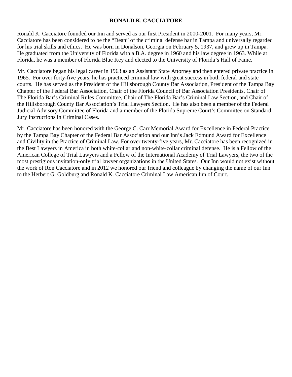#### **RONALD K. CACCIATORE**

Ronald K. Cacciatore founded our Inn and served as our first President in 2000-2001. For many years, Mr. Cacciatore has been considered to be the "Dean" of the criminal defense bar in Tampa and universally regarded for his trial skills and ethics. He was born in Donalson, Georgia on February 5, 1937, and grew up in Tampa. He graduated from the University of Florida with a B.A. degree in 1960 and his law degree in 1963. While at Florida, he was a member of Florida Blue Key and elected to the University of Florida's Hall of Fame.

Mr. Cacciatore began his legal career in 1963 as an Assistant State Attorney and then entered private practice in 1965. For over forty-five years, he has practiced criminal law with great success in both federal and state courts. He has served as the President of the Hillsborough County Bar Association, President of the Tampa Bay Chapter of the Federal Bar Association, Chair of the Florida Council of Bar Association Presidents, Chair of The Florida Bar's Criminal Rules Committee, Chair of The Florida Bar's Criminal Law Section, and Chair of the Hillsborough County Bar Association's Trial Lawyers Section. He has also been a member of the Federal Judicial Advisory Committee of Florida and a member of the Florida Supreme Court's Committee on Standard Jury Instructions in Criminal Cases.

Mr. Cacciatore has been honored with the George C. Carr Memorial Award for Excellence in Federal Practice by the Tampa Bay Chapter of the Federal Bar Association and our Inn's Jack Edmund Award for Excellence and Civility in the Practice of Criminal Law. For over twenty-five years, Mr. Cacciatore has been recognized in the Best Lawyers in America in both white-collar and non-white-collar criminal defense. He is a Fellow of the American College of Trial Lawyers and a Fellow of the International Academy of Trial Lawyers, the two of the most prestigious invitation-only trial lawyer organizations in the United States. Our Inn would not exist without the work of Ron Cacciatore and in 2012 we honored our friend and colleague by changing the name of our Inn to the Herbert G. Goldburg and Ronald K. Cacciatore Criminal Law American Inn of Court.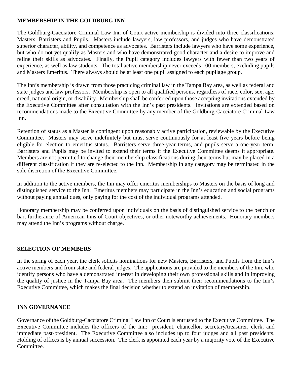#### **MEMBERSHIP IN THE GOLDBURG INN**

The Goldburg-Cacciatore Criminal Law Inn of Court active membership is divided into three classifications: Masters, Barristers and Pupils. Masters include lawyers, law professors, and judges who have demonstrated superior character, ability, and competence as advocates. Barristers include lawyers who have some experience, but who do not yet qualify as Masters and who have demonstrated good character and a desire to improve and refine their skills as advocates. Finally, the Pupil category includes lawyers with fewer than two years of experience, as well as law students. The total active membership never exceeds 100 members, excluding pupils and Masters Emeritus. There always should be at least one pupil assigned to each pupilage group.

The Inn's membership is drawn from those practicing criminal law in the Tampa Bay area, as well as federal and state judges and law professors. Membership is open to all qualified persons, regardless of race, color, sex, age, creed, national origin, or disability. Membership shall be conferred upon those accepting invitations extended by the Executive Committee after consultation with the Inn's past presidents. Invitations are extended based on recommendations made to the Executive Committee by any member of the Goldburg-Cacciatore Criminal Law Inn.

Retention of status as a Master is contingent upon reasonably active participation, reviewable by the Executive Committee. Masters may serve indefinitely but must serve continuously for at least five years before being eligible for election to emeritus status. Barristers serve three-year terms, and pupils serve a one-year term. Barristers and Pupils may be invited to extend their terms if the Executive Committee deems it appropriate. Members are not permitted to change their membership classifications during their terms but may be placed in a different classification if they are re-elected to the Inn. Membership in any category may be terminated in the sole discretion of the Executive Committee.

In addition to the active members, the Inn may offer emeritus memberships to Masters on the basis of long and distinguished service to the Inn. Emeritus members may participate in the Inn's education and social programs without paying annual dues, only paying for the cost of the individual programs attended.

Honorary membership may be conferred upon individuals on the basis of distinguished service to the bench or bar, furtherance of American Inns of Court objectives, or other noteworthy achievements. Honorary members may attend the Inn's programs without charge.

#### **SELECTION OF MEMBERS**

In the spring of each year, the clerk solicits nominations for new Masters, Barristers, and Pupils from the Inn's active members and from state and federal judges. The applications are provided to the members of the Inn, who identify persons who have a demonstrated interest in developing their own professional skills and in improving the quality of justice in the Tampa Bay area. The members then submit their recommendations to the Inn's Executive Committee, which makes the final decision whether to extend an invitation of membership.

#### **INN GOVERNANCE**

Governance of the Goldburg-Cacciatore Criminal Law Inn of Court is entrusted to the Executive Committee. The Executive Committee includes the officers of the Inn: president, chancellor, secretary/treasurer, clerk, and immediate past-president. The Executive Committee also includes up to four judges and all past presidents. Holding of offices is by annual succession. The clerk is appointed each year by a majority vote of the Executive Committee.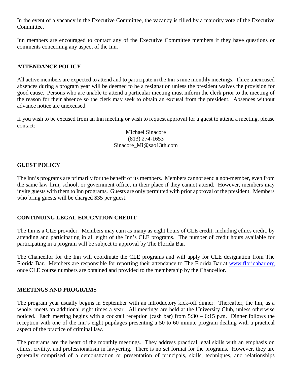In the event of a vacancy in the Executive Committee, the vacancy is filled by a majority vote of the Executive Committee.

Inn members are encouraged to contact any of the Executive Committee members if they have questions or comments concerning any aspect of the Inn.

#### **ATTENDANCE POLICY**

All active members are expected to attend and to participate in the Inn's nine monthly meetings. Three unexcused absences during a program year will be deemed to be a resignation unless the president waives the provision for good cause. Persons who are unable to attend a particular meeting must inform the clerk prior to the meeting of the reason for their absence so the clerk may seek to obtain an excusal from the president. Absences without advance notice are unexcused.

If you wish to be excused from an Inn meeting or wish to request approval for a guest to attend a meeting, please contact:

> Michael Sinacore (813) 274-1653 Sinacore\_Mi@sao13th.com

#### **GUEST POLICY**

The Inn's programs are primarily for the benefit of its members. Members cannot send a non-member, even from the same law firm, school, or government office, in their place if they cannot attend. However, members may invite guests with them to Inn programs. Guests are only permitted with prior approval of the president. Members who bring guests will be charged \$35 per guest.

#### **CONTINUING LEGAL EDUCATION CREDIT**

The Inn is a CLE provider. Members may earn as many as eight hours of CLE credit, including ethics credit, by attending and participating in all eight of the Inn's CLE programs. The number of credit hours available for participating in a program will be subject to approval by The Florida Bar.

The Chancellor for the Inn will coordinate the CLE programs and will apply for CLE designation from The Florida Bar. Members are responsible for reporting their attendance to The Florida Bar at [www.floridabar.org](http://www.floridabar.org/) once CLE course numbers are obtained and provided to the membership by the Chancellor.

#### **MEETINGS AND PROGRAMS**

The program year usually begins in September with an introductory kick-off dinner. Thereafter, the Inn, as a whole, meets an additional eight times a year. All meetings are held at the University Club, unless otherwise noticed. Each meeting begins with a cocktail reception (cash bar) from 5:30 – 6:15 p.m. Dinner follows the reception with one of the Inn's eight pupilages presenting a 50 to 60 minute program dealing with a practical aspect of the practice of criminal law.

The programs are the heart of the monthly meetings. They address practical legal skills with an emphasis on ethics, civility, and professionalism in lawyering. There is no set format for the programs. However, they are generally comprised of a demonstration or presentation of principals, skills, techniques, and relationships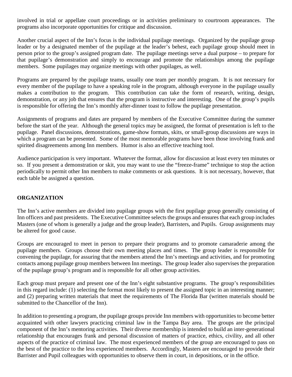involved in trial or appellate court proceedings or in activities preliminary to courtroom appearances. The programs also incorporate opportunities for critique and discussion.

Another crucial aspect of the Inn's focus is the individual pupilage meetings. Organized by the pupilage group leader or by a designated member of the pupilage at the leader's behest, each pupilage group should meet in person prior to the group's assigned program date. The pupilage meetings serve a dual purpose – to prepare for that pupilage's demonstration and simply to encourage and promote the relationships among the pupilage members. Some pupilages may organize meetings with other pupilages, as well.

Programs are prepared by the pupilage teams, usually one team per monthly program. It is not necessary for every member of the pupilage to have a speaking role in the program, although everyone in the pupilage usually makes a contribution to the program. This contribution can take the form of research, writing, design, demonstration, or any job that ensures that the program is instructive and interesting. One of the group's pupils is responsible for offering the Inn's monthly after-dinner toast to follow the pupilage presentation.

Assignments of programs and dates are prepared by members of the Executive Committee during the summer before the start of the year. Although the general topics may be assigned, the format of presentation is left to the pupilage. Panel discussions, demonstrations, game-show formats, skits, or small-group discussions are ways in which a program can be presented. Some of the most memorable programs have been those involving frank and spirited disagreements among Inn members. Humor is also an effective teaching tool.

Audience participation is very important. Whatever the format, allow for discussion at least every ten minutes or so. If you present a demonstration or skit, you may want to use the "freeze-frame" technique to stop the action periodically to permit other Inn members to make comments or ask questions. It is not necessary, however, that each table be assigned a question.

#### **ORGANIZATION**

The Inn's active members are divided into pupilage groups with the first pupilage group generally consisting of Inn officers and past presidents. The Executive Committee selects the groups and ensures that each group includes Masters (one of whom is generally a judge and the group leader), Barristers, and Pupils. Group assignments may be altered for good cause.

Groups are encouraged to meet in person to prepare their programs and to promote camaraderie among the pupilage members. Groups choose their own meeting places and times. The group leader is responsible for convening the pupilage, for assuring that the members attend the Inn's meetings and activities, and for promoting contacts among pupilage group members between Inn meetings. The group leader also supervises the preparation of the pupilage group's program and is responsible for all other group activities.

Each group must prepare and present one of the Inn's eight substantive programs. The group's responsibilities in this regard include: (1) selecting the format most likely to present the assigned topic in an interesting manner; and (2) preparing written materials that meet the requirements of The Florida Bar (written materials should be submitted to the Chancellor of the Inn).

In addition to presenting a program, the pupilage groups provide Inn members with opportunities to become better acquainted with other lawyers practicing criminal law in the Tampa Bay area. The groups are the principal component of the Inn's mentoring activities. Their diverse membership is intended to build an inter-generational relationship that encourages frank and personal discussion of matters of practice, ethics, civility, and all other aspects of the practice of criminal law. The most experienced members of the group are encouraged to pass on the best of the practice to the less experienced members. Accordingly, Masters are encouraged to provide their Barrister and Pupil colleagues with opportunities to observe them in court, in depositions, or in the office.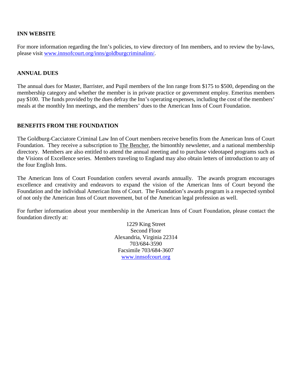#### **INN WEBSITE**

For more information regarding the Inn's policies, to view directory of Inn members, and to review the by-laws, please visit [www.innsofcourt.org/inns/goldburgcriminalinn/.](http://www.innsofcourt.org/inns/goldburgcriminalinn/)

#### **ANNUAL DUES**

The annual dues for Master, Barrister, and Pupil members of the Inn range from \$175 to \$500, depending on the membership category and whether the member is in private practice or government employ. Emeritus members pay \$100. The funds provided by the dues defray the Inn's operating expenses, including the cost of the members' meals at the monthly Inn meetings, and the members' dues to the American Inns of Court Foundation.

#### **BENEFITS FROM THE FOUNDATION**

The Goldburg-Cacciatore Criminal Law Inn of Court members receive benefits from the American Inns of Court Foundation. They receive a subscription to The Bencher, the bimonthly newsletter, and a national membership directory. Members are also entitled to attend the annual meeting and to purchase videotaped programs such as the Visions of Excellence series. Members traveling to England may also obtain letters of introduction to any of the four English Inns.

The American Inns of Court Foundation confers several awards annually. The awards program encourages excellence and creativity and endeavors to expand the vision of the American Inns of Court beyond the Foundation and the individual American Inns of Court. The Foundation's awards program is a respected symbol of not only the American Inns of Court movement, but of the American legal profession as well.

For further information about your membership in the American Inns of Court Foundation, please contact the foundation directly at:

> 1229 King Street Second Floor Alexandria, Virginia 22314 703/684-3590 Facsimile 703/684-3607 [www.innsofcourt.org](http://www.innsofcourt.org/)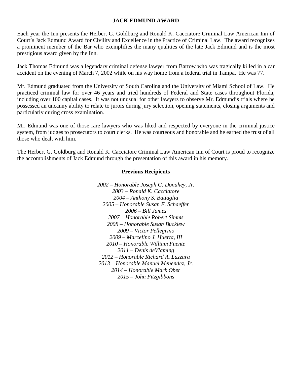#### **JACK EDMUND AWARD**

Each year the Inn presents the Herbert G. Goldburg and Ronald K. Cacciatore Criminal Law American Inn of Court's Jack Edmund Award for Civility and Excellence in the Practice of Criminal Law. The award recognizes a prominent member of the Bar who exemplifies the many qualities of the late Jack Edmund and is the most prestigious award given by the Inn.

Jack Thomas Edmund was a legendary criminal defense lawyer from Bartow who was tragically killed in a car accident on the evening of March 7, 2002 while on his way home from a federal trial in Tampa. He was 77.

Mr. Edmund graduated from the University of South Carolina and the University of Miami School of Law. He practiced criminal law for over 46 years and tried hundreds of Federal and State cases throughout Florida, including over 100 capital cases. It was not unusual for other lawyers to observe Mr. Edmund's trials where he possessed an uncanny ability to relate to jurors during jury selection, opening statements, closing arguments and particularly during cross examination.

Mr. Edmund was one of those rare lawyers who was liked and respected by everyone in the criminal justice system, from judges to prosecutors to court clerks. He was courteous and honorable and he earned the trust of all those who dealt with him.

The Herbert G. Goldburg and Ronald K. Cacciatore Criminal Law American Inn of Court is proud to recognize the accomplishments of Jack Edmund through the presentation of this award in his memory.

#### **Previous Recipients**

*2002 – Honorable Joseph G. Donahey, Jr. 2003 – Ronald K. Cacciatore 2004 – Anthony S. Battaglia 2005 – Honorable Susan F. Schaeffer 2006 – Bill James 2007 – Honorable Robert Simms 2008 – Honorable Susan Bucklew 2009 – Victor Pellegrino 2009 – Marcelino J. Huerta, III 2010 – Honorable William Fuente 2011 – Denis deVlaming 2012 – Honorable Richard A. Lazzara 2013 – Honorable Manuel Menendez, Jr. 2014 – Honorable Mark Ober 2015 – John Fitzgibbons*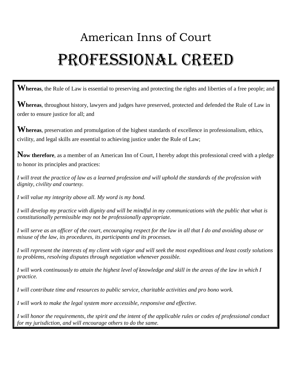# American Inns of Court Professional Creed

**Whereas**, the Rule of Law is essential to preserving and protecting the rights and liberties of a free people; and

**Whereas**, throughout history, lawyers and judges have preserved, protected and defended the Rule of Law in order to ensure justice for all; and

Whereas, preservation and promulgation of the highest standards of excellence in professionalism, ethics, civility, and legal skills are essential to achieving justice under the Rule of Law;

**Now therefore**, as a member of an American Inn of Court, I hereby adopt this professional creed with a pledge to honor its principles and practices:

*I will treat the practice of law as a learned profession and will uphold the standards of the profession with dignity, civility and courtesy.* 

*I will value my integrity above all. My word is my bond.* 

*I will develop my practice with dignity and will be mindful in my communications with the public that what is constitutionally permissible may not be professionally appropriate.* 

*I will serve as an officer of the court, encouraging respect for the law in all that I do and avoiding abuse or misuse of the law, its procedures, its participants and its processes.* 

*I will represent the interests of my client with vigor and will seek the most expeditious and least costly solutions to problems, resolving disputes through negotiation whenever possible.* 

*I will work continuously to attain the highest level of knowledge and skill in the areas of the law in which I practice.* 

*I will contribute time and resources to public service, charitable activities and pro bono work.* 

*I will work to make the legal system more accessible, responsive and effective.* 

*I will honor the requirements, the spirit and the intent of the applicable rules or codes of professional conduct for my jurisdiction, and will encourage others to do the same.*